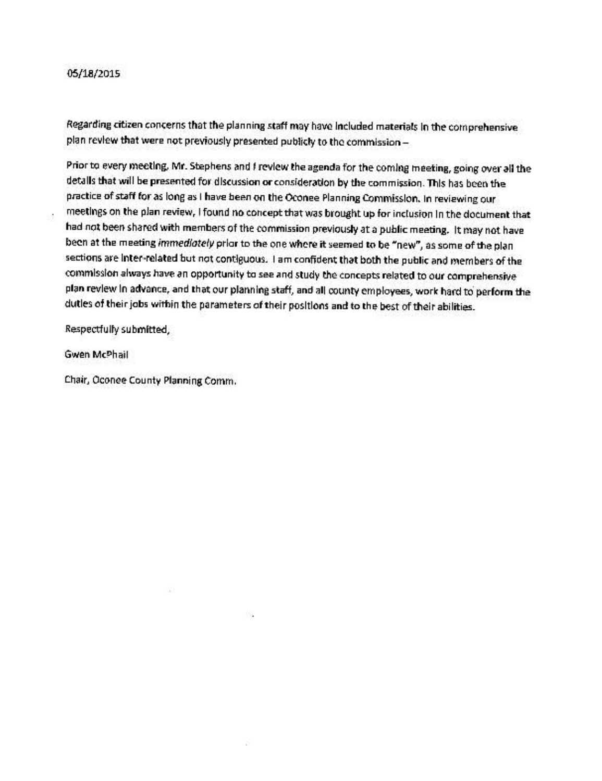## 05/18/2015

J.

Regarding citizen concerns that the planning staff may have included materials in the comprehensive plan review that were not previously presented publicly to the commission -

Prior to every meeting. Mr. Stephens and I review the agenda for the coming meeting, going over all the details that will be presented for discussion or consideration by the commission. This has been the practice of staff for as long as I have been on the Oconee Planning Commission. In reviewing our meetings on the plan review, I found no concept that was brought up for inclusion in the document that had not been shared with members of the commission previously at a public meeting. It may not have been at the meeting immediately prior to the one where it seemed to be "new", as some of the plan sections are inter-related but not contiguous. I am confident that both the public and members of the commission always have an opportunity to see and study the concepts related to our comprehensive plan review in advance, and that our planning staff, and all county employees, work hard to perform the dutles of their jobs within the parameters of their positions and to the best of their abilities.

Respectfully submitted,

Gwen McPhail

Chair, Oconee County Planning Comm.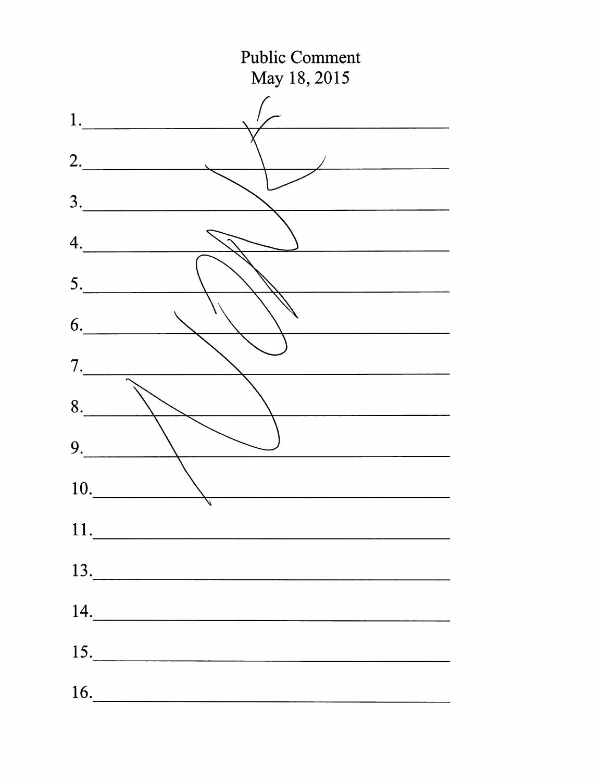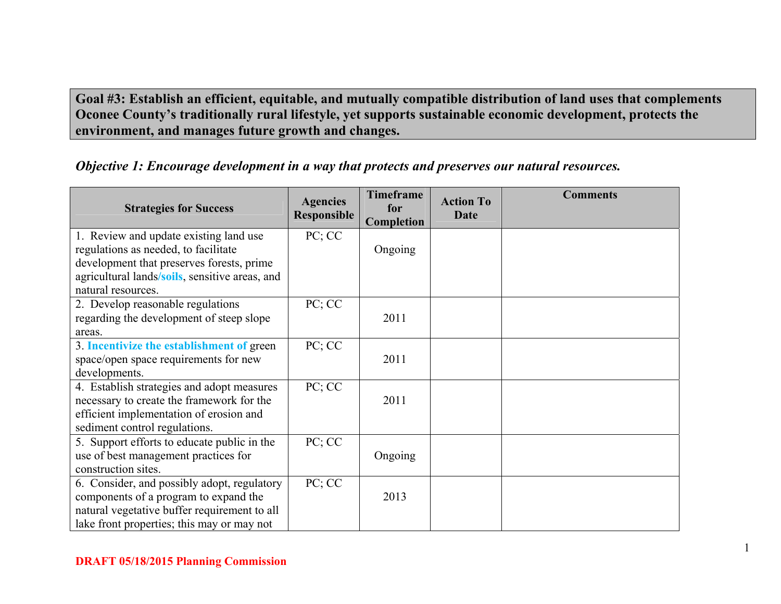**Goal #3: Establish an efficient, equitable, and mutually compatible distribution of land uses that complements Oconee County's traditionally rural lifestyle, yet supports sustainable economic development, protects the environment, and manages future growth and changes.** 

|  | Objective 1: Encourage development in a way that protects and preserves our natural resources. |
|--|------------------------------------------------------------------------------------------------|
|  |                                                                                                |

| <b>Strategies for Success</b>                                                     | <b>Agencies</b><br><b>Responsible</b> | <b>Timeframe</b><br>for<br><b>Completion</b> | <b>Action To</b><br>Date | <b>Comments</b> |
|-----------------------------------------------------------------------------------|---------------------------------------|----------------------------------------------|--------------------------|-----------------|
| 1. Review and update existing land use                                            | PC; CC                                |                                              |                          |                 |
| regulations as needed, to facilitate<br>development that preserves forests, prime |                                       | Ongoing                                      |                          |                 |
| agricultural lands/soils, sensitive areas, and                                    |                                       |                                              |                          |                 |
| natural resources.                                                                |                                       |                                              |                          |                 |
| 2. Develop reasonable regulations                                                 | PC; CC                                |                                              |                          |                 |
| regarding the development of steep slope                                          |                                       | 2011                                         |                          |                 |
| areas.                                                                            |                                       |                                              |                          |                 |
| 3. Incentivize the establishment of green                                         | PC; CC                                |                                              |                          |                 |
| space/open space requirements for new                                             |                                       | 2011                                         |                          |                 |
| developments.                                                                     |                                       |                                              |                          |                 |
| 4. Establish strategies and adopt measures                                        | PC; CC                                |                                              |                          |                 |
| necessary to create the framework for the                                         |                                       | 2011                                         |                          |                 |
| efficient implementation of erosion and                                           |                                       |                                              |                          |                 |
| sediment control regulations.                                                     |                                       |                                              |                          |                 |
| 5. Support efforts to educate public in the                                       | PC; CC                                |                                              |                          |                 |
| use of best management practices for                                              |                                       | Ongoing                                      |                          |                 |
| construction sites.                                                               |                                       |                                              |                          |                 |
| 6. Consider, and possibly adopt, regulatory                                       | PC; CC                                |                                              |                          |                 |
| components of a program to expand the                                             |                                       | 2013                                         |                          |                 |
| natural vegetative buffer requirement to all                                      |                                       |                                              |                          |                 |
| lake front properties; this may or may not                                        |                                       |                                              |                          |                 |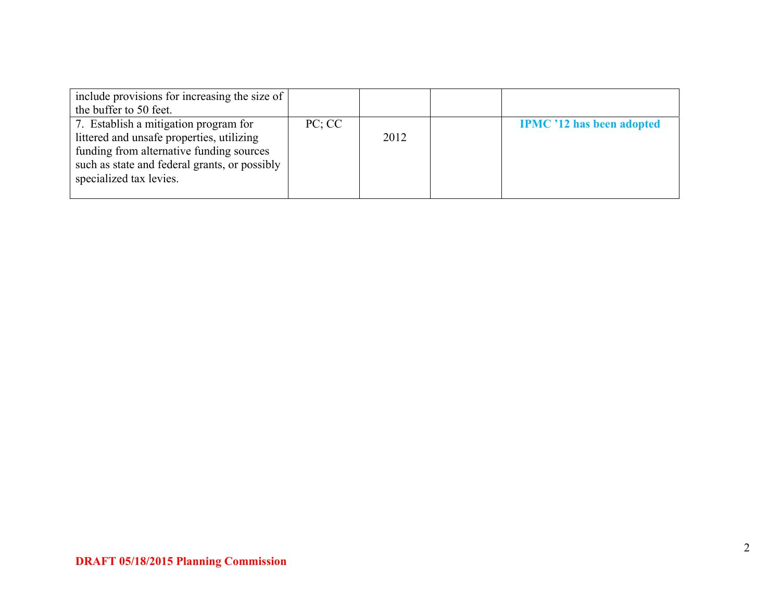| include provisions for increasing the size of<br>the buffer to 50 feet.                                                                                                                                    |        |      |                                  |
|------------------------------------------------------------------------------------------------------------------------------------------------------------------------------------------------------------|--------|------|----------------------------------|
| 7. Establish a mitigation program for<br>littered and unsafe properties, utilizing<br>funding from alternative funding sources<br>such as state and federal grants, or possibly<br>specialized tax levies. | PC; CC | 2012 | <b>IPMC</b> '12 has been adopted |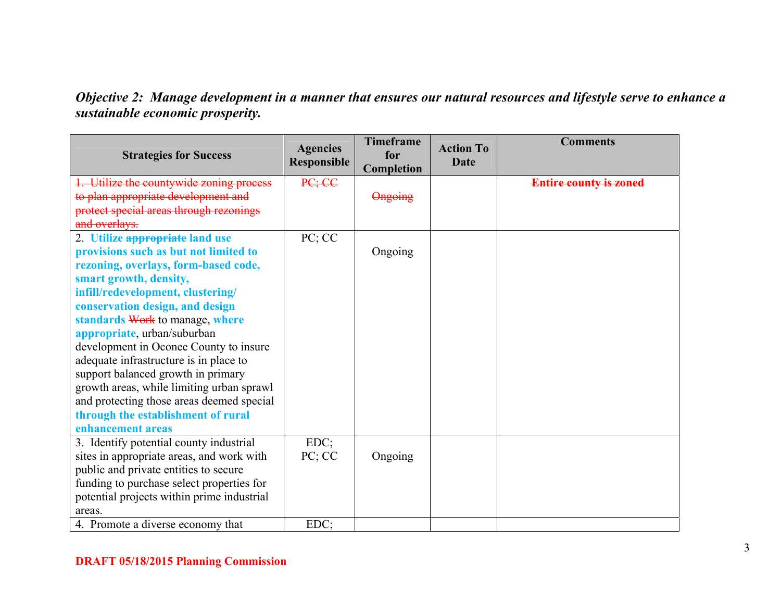*Objective 2: Manage development in a manner that ensures our natural resources and lifestyle serve to enhance a sustainable economic prosperity.* 

| <b>Strategies for Success</b>              | <b>Agencies</b><br>Responsible | <b>Timeframe</b><br>for<br>Completion | <b>Action To</b><br>Date | <b>Comments</b>               |
|--------------------------------------------|--------------------------------|---------------------------------------|--------------------------|-------------------------------|
| Utilize the countywide zoning process      | PC; CC                         |                                       |                          | <b>Entire county is zoned</b> |
| to plan appropriate development and        |                                | Ongoing                               |                          |                               |
| protect special areas through rezonings    |                                |                                       |                          |                               |
| and overlays.                              |                                |                                       |                          |                               |
| 2. Utilize appropriate land use            | PC; CC                         |                                       |                          |                               |
| provisions such as but not limited to      |                                | Ongoing                               |                          |                               |
| rezoning, overlays, form-based code,       |                                |                                       |                          |                               |
| smart growth, density,                     |                                |                                       |                          |                               |
| infill/redevelopment, clustering/          |                                |                                       |                          |                               |
| conservation design, and design            |                                |                                       |                          |                               |
| standards Work to manage, where            |                                |                                       |                          |                               |
| appropriate, urban/suburban                |                                |                                       |                          |                               |
| development in Oconee County to insure     |                                |                                       |                          |                               |
| adequate infrastructure is in place to     |                                |                                       |                          |                               |
| support balanced growth in primary         |                                |                                       |                          |                               |
| growth areas, while limiting urban sprawl  |                                |                                       |                          |                               |
| and protecting those areas deemed special  |                                |                                       |                          |                               |
| through the establishment of rural         |                                |                                       |                          |                               |
| enhancement areas                          |                                |                                       |                          |                               |
| 3. Identify potential county industrial    | $EDC$ ;                        |                                       |                          |                               |
| sites in appropriate areas, and work with  | PC; CC                         | Ongoing                               |                          |                               |
| public and private entities to secure      |                                |                                       |                          |                               |
| funding to purchase select properties for  |                                |                                       |                          |                               |
| potential projects within prime industrial |                                |                                       |                          |                               |
| areas.                                     |                                |                                       |                          |                               |
| 4. Promote a diverse economy that          | $EDC$ ;                        |                                       |                          |                               |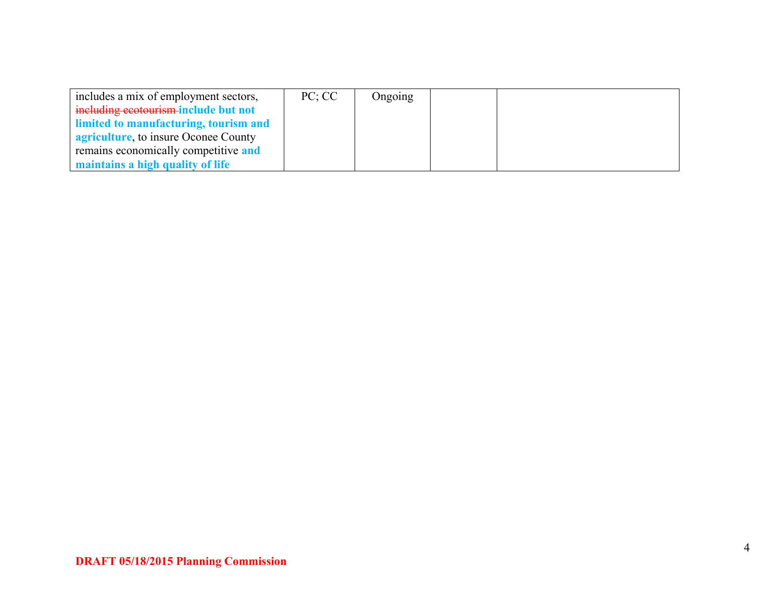| includes a mix of employment sectors,        | PC: CC | Ongoing |  |  |
|----------------------------------------------|--------|---------|--|--|
| including ecotourism-include but not         |        |         |  |  |
| limited to manufacturing, tourism and        |        |         |  |  |
| <b>agriculture</b> , to insure Oconee County |        |         |  |  |
| remains economically competitive and         |        |         |  |  |
| maintains a high quality of life             |        |         |  |  |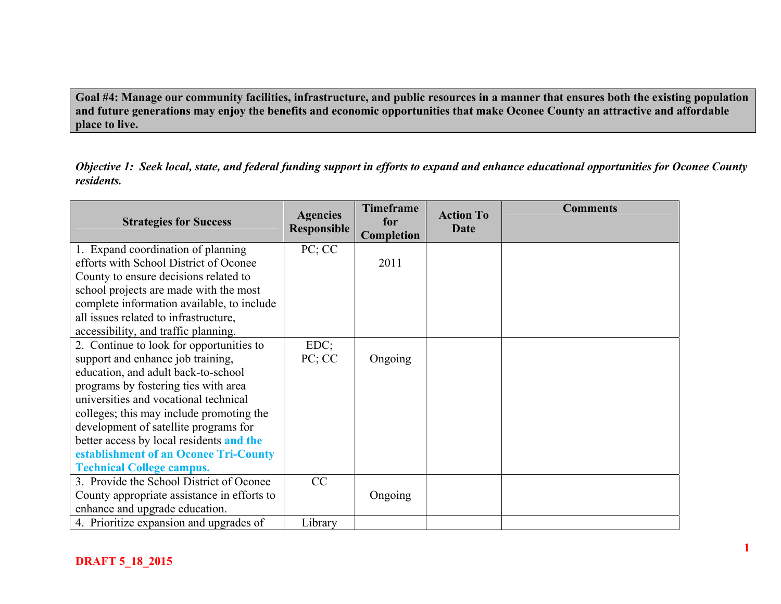**Goal #4: Manage our community facilities, infrastructure, and public resources in a manner that ensures both the existing population and future generations may enjoy the benefits and economic opportunities that make Oconee County an attractive and affordable place to live.** 

*Objective 1: Seek local, state, and federal funding support in efforts to expand and enhance educational opportunities for Oconee County residents.* 

| <b>Strategies for Success</b>               | <b>Agencies</b><br><b>Responsible</b> | <b>Timeframe</b><br>for<br>Completion | <b>Action To</b><br>Date | <b>Comments</b> |
|---------------------------------------------|---------------------------------------|---------------------------------------|--------------------------|-----------------|
| 1. Expand coordination of planning          | PC; CC                                |                                       |                          |                 |
| efforts with School District of Oconee      |                                       | 2011                                  |                          |                 |
| County to ensure decisions related to       |                                       |                                       |                          |                 |
| school projects are made with the most      |                                       |                                       |                          |                 |
| complete information available, to include  |                                       |                                       |                          |                 |
| all issues related to infrastructure,       |                                       |                                       |                          |                 |
| accessibility, and traffic planning.        |                                       |                                       |                          |                 |
| 2. Continue to look for opportunities to    | $EDC$ ;                               |                                       |                          |                 |
| support and enhance job training,           | PC; CC                                | Ongoing                               |                          |                 |
| education, and adult back-to-school         |                                       |                                       |                          |                 |
| programs by fostering ties with area        |                                       |                                       |                          |                 |
| universities and vocational technical       |                                       |                                       |                          |                 |
| colleges; this may include promoting the    |                                       |                                       |                          |                 |
| development of satellite programs for       |                                       |                                       |                          |                 |
| better access by local residents and the    |                                       |                                       |                          |                 |
| establishment of an Oconee Tri-County       |                                       |                                       |                          |                 |
| <b>Technical College campus.</b>            |                                       |                                       |                          |                 |
| 3. Provide the School District of Oconee    | CC                                    |                                       |                          |                 |
| County appropriate assistance in efforts to |                                       | Ongoing                               |                          |                 |
| enhance and upgrade education.              |                                       |                                       |                          |                 |
| 4. Prioritize expansion and upgrades of     | Library                               |                                       |                          |                 |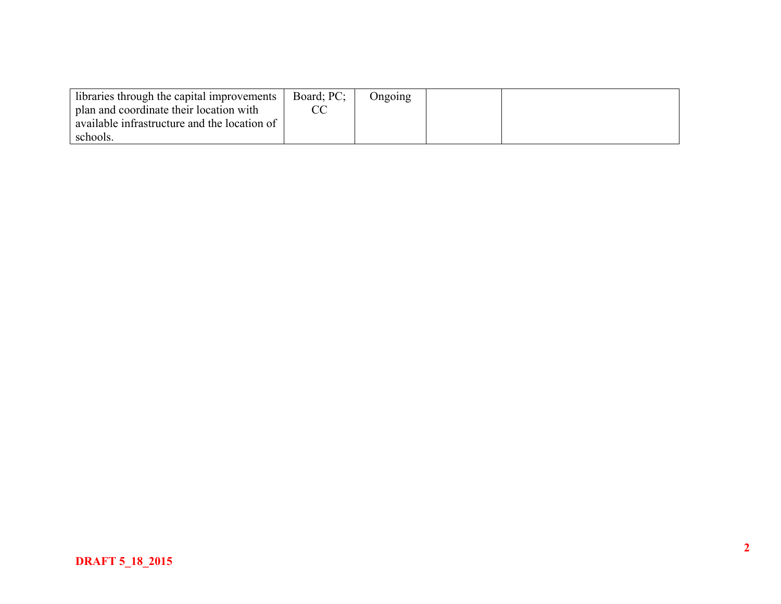| libraries through the capital improvements   | Board: PC: | Ongoing |  |
|----------------------------------------------|------------|---------|--|
| I plan and coordinate their location with    |            |         |  |
| available infrastructure and the location of |            |         |  |
| schools.                                     |            |         |  |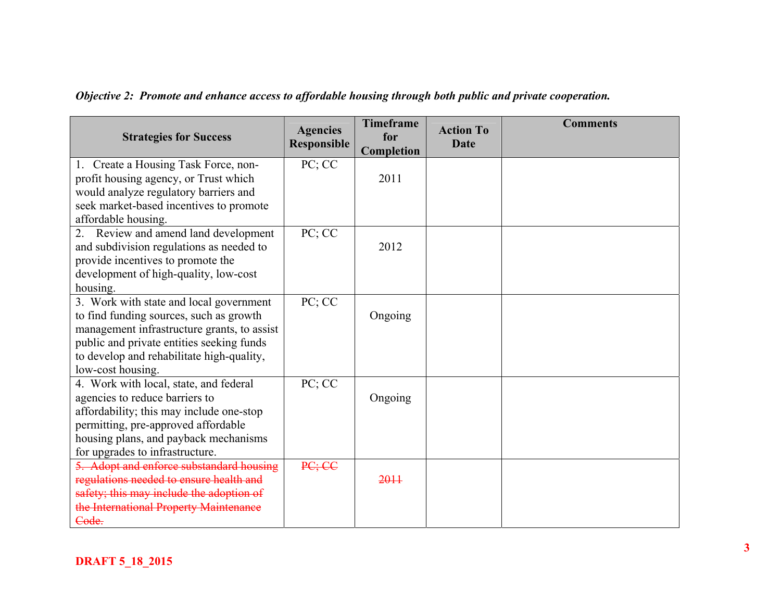| <b>Strategies for Success</b>                                                                                                                                                                                                                    | <b>Agencies</b><br>Responsible    | <b>Timeframe</b><br>for<br>Completion | <b>Action To</b><br><b>Date</b> | <b>Comments</b> |
|--------------------------------------------------------------------------------------------------------------------------------------------------------------------------------------------------------------------------------------------------|-----------------------------------|---------------------------------------|---------------------------------|-----------------|
| 1. Create a Housing Task Force, non-<br>profit housing agency, or Trust which<br>would analyze regulatory barriers and<br>seek market-based incentives to promote                                                                                | PC; CC                            | 2011                                  |                                 |                 |
| affordable housing.                                                                                                                                                                                                                              |                                   |                                       |                                 |                 |
| 2. Review and amend land development<br>and subdivision regulations as needed to<br>provide incentives to promote the<br>development of high-quality, low-cost<br>housing.                                                                       | $\overline{PC}$ ; $\overline{CC}$ | 2012                                  |                                 |                 |
| 3. Work with state and local government<br>to find funding sources, such as growth<br>management infrastructure grants, to assist<br>public and private entities seeking funds<br>to develop and rehabilitate high-quality,<br>low-cost housing. | PC; CC                            | Ongoing                               |                                 |                 |
| 4. Work with local, state, and federal<br>agencies to reduce barriers to<br>affordability; this may include one-stop<br>permitting, pre-approved affordable<br>housing plans, and payback mechanisms<br>for upgrades to infrastructure.          | $\overline{PC}$ ; $CC$            | Ongoing                               |                                 |                 |
| 5. Adopt and enforce substandard housing<br>regulations needed to ensure health and<br>safety; this may include the adoption of<br>the International Property Maintenance<br>Code.                                                               | PC; CC                            | 2011                                  |                                 |                 |

*Objective 2: Promote and enhance access to affordable housing through both public and private cooperation.*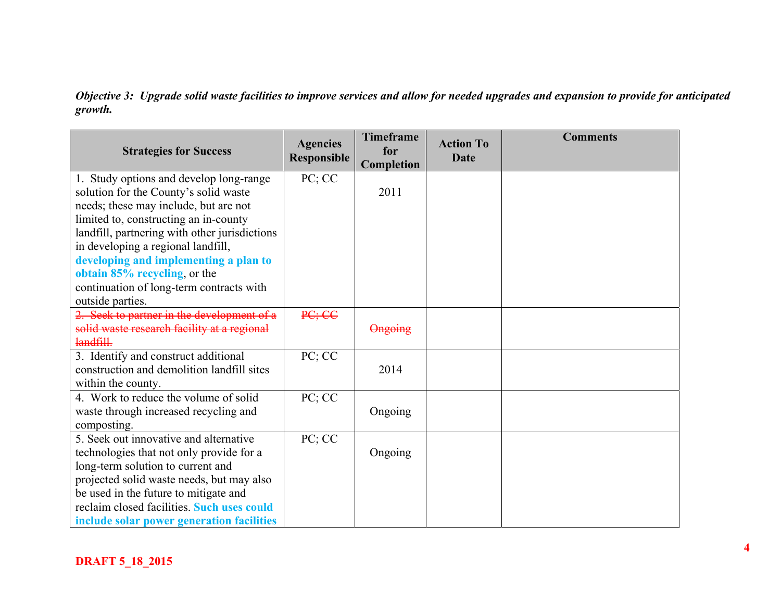*Objective 3: Upgrade solid waste facilities to improve services and allow for needed upgrades and expansion to provide for anticipated growth.* 

| <b>Strategies for Success</b>                 | <b>Agencies</b><br>Responsible | <b>Timeframe</b><br>for<br>Completion | <b>Action To</b><br><b>Date</b> | <b>Comments</b> |
|-----------------------------------------------|--------------------------------|---------------------------------------|---------------------------------|-----------------|
| 1. Study options and develop long-range       | PC; CC                         |                                       |                                 |                 |
| solution for the County's solid waste         |                                | 2011                                  |                                 |                 |
| needs; these may include, but are not         |                                |                                       |                                 |                 |
| limited to, constructing an in-county         |                                |                                       |                                 |                 |
| landfill, partnering with other jurisdictions |                                |                                       |                                 |                 |
| in developing a regional landfill,            |                                |                                       |                                 |                 |
| developing and implementing a plan to         |                                |                                       |                                 |                 |
| obtain 85% recycling, or the                  |                                |                                       |                                 |                 |
| continuation of long-term contracts with      |                                |                                       |                                 |                 |
| outside parties.                              |                                |                                       |                                 |                 |
| 2. Seek to partner in the development of a    | PC; CC                         |                                       |                                 |                 |
| solid waste research facility at a regional   |                                | Ongoing                               |                                 |                 |
| landfill.                                     |                                |                                       |                                 |                 |
| 3. Identify and construct additional          | PC; CC                         |                                       |                                 |                 |
| construction and demolition landfill sites    |                                | 2014                                  |                                 |                 |
| within the county.                            |                                |                                       |                                 |                 |
| 4. Work to reduce the volume of solid         | PC; CC                         |                                       |                                 |                 |
| waste through increased recycling and         |                                | Ongoing                               |                                 |                 |
| composting.                                   |                                |                                       |                                 |                 |
| 5. Seek out innovative and alternative        | PC; CC                         |                                       |                                 |                 |
| technologies that not only provide for a      |                                | Ongoing                               |                                 |                 |
| long-term solution to current and             |                                |                                       |                                 |                 |
| projected solid waste needs, but may also     |                                |                                       |                                 |                 |
| be used in the future to mitigate and         |                                |                                       |                                 |                 |
| reclaim closed facilities. Such uses could    |                                |                                       |                                 |                 |
| include solar power generation facilities     |                                |                                       |                                 |                 |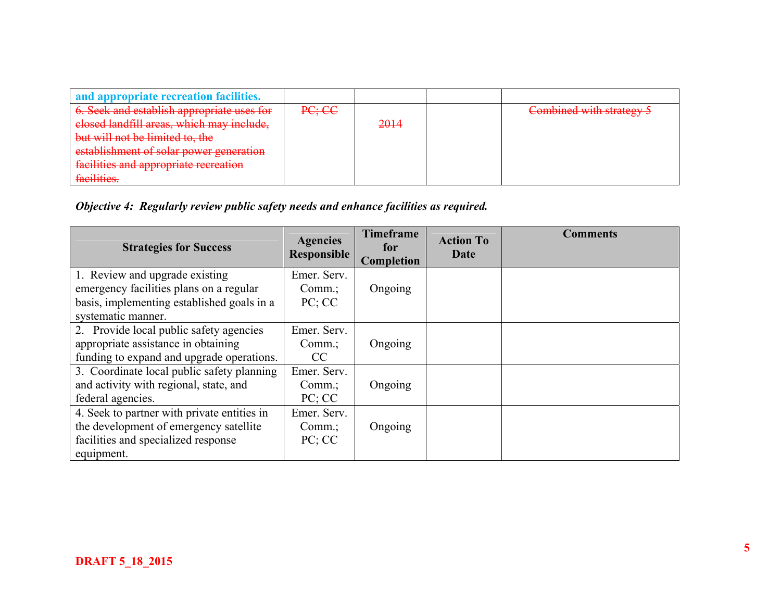| and appropriate recreation facilities.     |        |      |                          |
|--------------------------------------------|--------|------|--------------------------|
| 6. Seek and establish appropriate uses for | PC; CC |      | Combined with strategy 5 |
| elosed landfill areas, which may include,  |        | 2014 |                          |
| but will not be limited to, the            |        |      |                          |
| establishment of solar power generation    |        |      |                          |
| facilities and appropriate recreation      |        |      |                          |
| facilities.                                |        |      |                          |

*Objective 4: Regularly review public safety needs and enhance facilities as required.* 

| <b>Strategies for Success</b>               | <b>Agencies</b><br>Responsible | <b>Timeframe</b><br>for<br>Completion | <b>Action To</b><br>Date | <b>Comments</b> |
|---------------------------------------------|--------------------------------|---------------------------------------|--------------------------|-----------------|
| 1. Review and upgrade existing              | Emer. Serv.                    |                                       |                          |                 |
| emergency facilities plans on a regular     | Comm.                          | Ongoing                               |                          |                 |
| basis, implementing established goals in a  | PC; CC                         |                                       |                          |                 |
| systematic manner.                          |                                |                                       |                          |                 |
| 2. Provide local public safety agencies     | Emer. Serv.                    |                                       |                          |                 |
| appropriate assistance in obtaining         | $Comm$ .;                      | Ongoing                               |                          |                 |
| funding to expand and upgrade operations.   | CC.                            |                                       |                          |                 |
| 3. Coordinate local public safety planning  | Emer. Serv.                    |                                       |                          |                 |
| and activity with regional, state, and      | $Comm$ .;                      | Ongoing                               |                          |                 |
| federal agencies.                           | PC; CC                         |                                       |                          |                 |
| 4. Seek to partner with private entities in | Emer. Serv.                    |                                       |                          |                 |
| the development of emergency satellite      | $Comm$ .;                      | Ongoing                               |                          |                 |
| facilities and specialized response         | PC; CC                         |                                       |                          |                 |
| equipment.                                  |                                |                                       |                          |                 |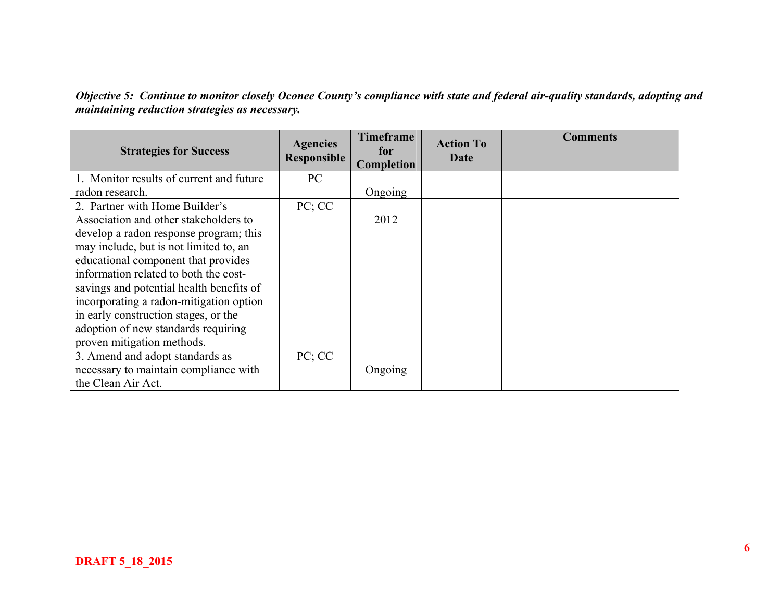*Objective 5: Continue to monitor closely Oconee County's compliance with state and federal air-quality standards, adopting and maintaining reduction strategies as necessary.* 

| <b>Strategies for Success</b>            | <b>Agencies</b><br>Responsible | <b>Timeframe</b><br>for<br>Completion | <b>Action To</b><br>Date | <b>Comments</b> |
|------------------------------------------|--------------------------------|---------------------------------------|--------------------------|-----------------|
| 1. Monitor results of current and future | PC                             |                                       |                          |                 |
| radon research.                          |                                | Ongoing                               |                          |                 |
| 2. Partner with Home Builder's           | PC; CC                         |                                       |                          |                 |
| Association and other stakeholders to    |                                | 2012                                  |                          |                 |
| develop a radon response program; this   |                                |                                       |                          |                 |
| may include, but is not limited to, an   |                                |                                       |                          |                 |
| educational component that provides      |                                |                                       |                          |                 |
| information related to both the cost-    |                                |                                       |                          |                 |
| savings and potential health benefits of |                                |                                       |                          |                 |
| incorporating a radon-mitigation option  |                                |                                       |                          |                 |
| in early construction stages, or the     |                                |                                       |                          |                 |
| adoption of new standards requiring      |                                |                                       |                          |                 |
| proven mitigation methods.               |                                |                                       |                          |                 |
| 3. Amend and adopt standards as          | PC; CC                         |                                       |                          |                 |
| necessary to maintain compliance with    |                                | Ongoing                               |                          |                 |
| the Clean Air Act.                       |                                |                                       |                          |                 |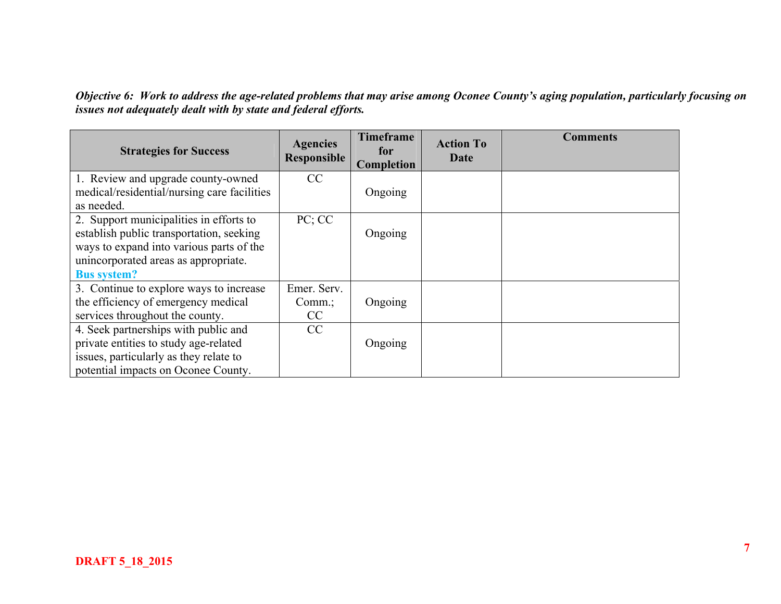*Objective 6: Work to address the age-related problems that may arise among Oconee County's aging population, particularly focusing on issues not adequately dealt with by state and federal efforts.* 

| <b>Strategies for Success</b>                                                                                                                                                                 | <b>Agencies</b><br>Responsible | <b>Timeframe</b><br>for<br>Completion | <b>Action To</b><br>Date | <b>Comments</b> |
|-----------------------------------------------------------------------------------------------------------------------------------------------------------------------------------------------|--------------------------------|---------------------------------------|--------------------------|-----------------|
| 1. Review and upgrade county-owned<br>medical/residential/nursing care facilities<br>as needed.                                                                                               | CC                             | Ongoing                               |                          |                 |
| 2. Support municipalities in efforts to<br>establish public transportation, seeking<br>ways to expand into various parts of the<br>unincorporated areas as appropriate.<br><b>Bus system?</b> | PC; CC                         | Ongoing                               |                          |                 |
| 3. Continue to explore ways to increase<br>the efficiency of emergency medical<br>services throughout the county.                                                                             | Emer. Serv.<br>$Comm$ :<br>CC  | Ongoing                               |                          |                 |
| 4. Seek partnerships with public and<br>private entities to study age-related<br>issues, particularly as they relate to<br>potential impacts on Oconee County.                                | CC                             | Ongoing                               |                          |                 |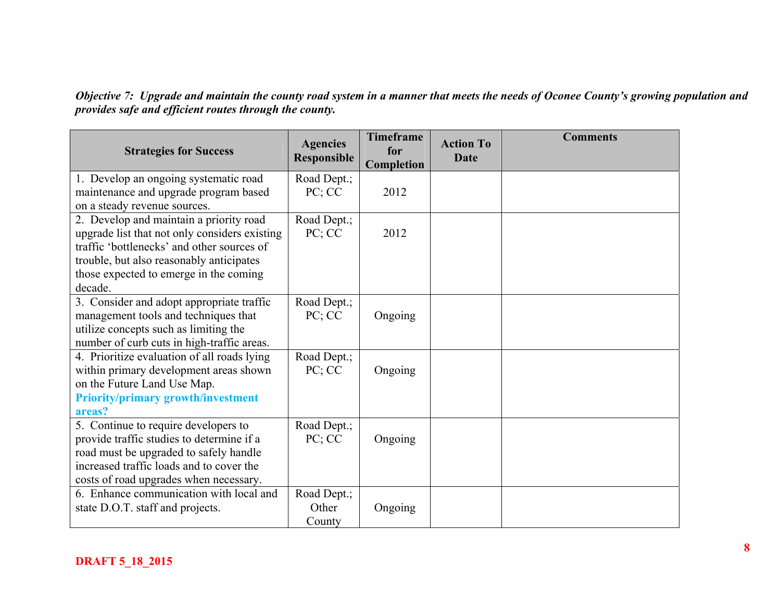*Objective 7: Upgrade and maintain the county road system in a manner that meets the needs of Oconee County's growing population and provides safe and efficient routes through the county.* 

| <b>Strategies for Success</b>                                                                                                                                                                                                           | <b>Agencies</b><br><b>Responsible</b> | <b>Timeframe</b><br>for<br>Completion | <b>Action To</b><br><b>Date</b> | <b>Comments</b> |
|-----------------------------------------------------------------------------------------------------------------------------------------------------------------------------------------------------------------------------------------|---------------------------------------|---------------------------------------|---------------------------------|-----------------|
| 1. Develop an ongoing systematic road<br>maintenance and upgrade program based<br>on a steady revenue sources.                                                                                                                          | Road Dept.;<br>PC; CC                 | 2012                                  |                                 |                 |
| 2. Develop and maintain a priority road<br>upgrade list that not only considers existing<br>traffic 'bottlenecks' and other sources of<br>trouble, but also reasonably anticipates<br>those expected to emerge in the coming<br>decade. | Road Dept.;<br>PC; CC                 | 2012                                  |                                 |                 |
| 3. Consider and adopt appropriate traffic<br>management tools and techniques that<br>utilize concepts such as limiting the<br>number of curb cuts in high-traffic areas.                                                                | Road Dept.;<br>PC; CC                 | Ongoing                               |                                 |                 |
| 4. Prioritize evaluation of all roads lying<br>within primary development areas shown<br>on the Future Land Use Map.<br><b>Priority/primary growth/investment</b><br>areas?                                                             | Road Dept.;<br>PC; CC                 | Ongoing                               |                                 |                 |
| 5. Continue to require developers to<br>provide traffic studies to determine if a<br>road must be upgraded to safely handle<br>increased traffic loads and to cover the<br>costs of road upgrades when necessary.                       | Road Dept.;<br>PC; CC                 | Ongoing                               |                                 |                 |
| 6. Enhance communication with local and<br>state D.O.T. staff and projects.                                                                                                                                                             | Road Dept.;<br>Other<br>County        | Ongoing                               |                                 |                 |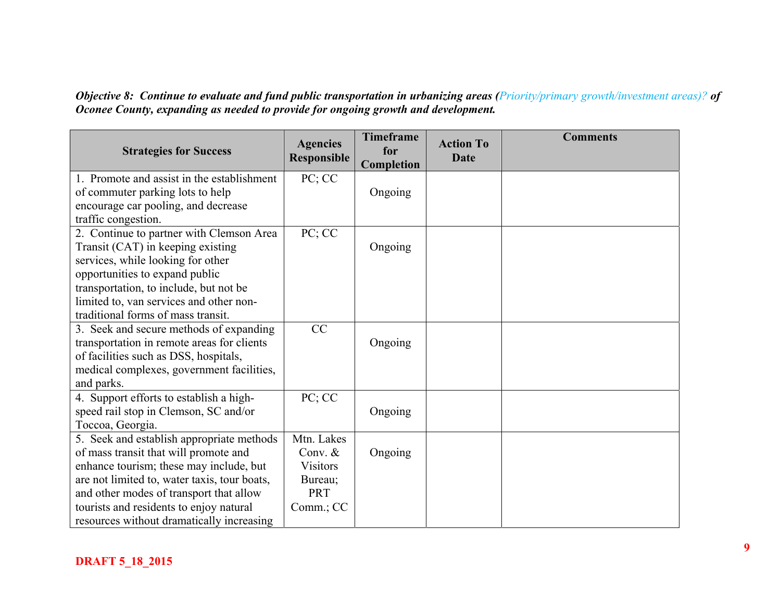*Objective 8: Continue to evaluate and fund public transportation in urbanizing areas (Priority/primary growth/investment areas)? of Oconee County, expanding as needed to provide for ongoing growth and development.*

| <b>Strategies for Success</b>                | <b>Agencies</b><br>Responsible | <b>Timeframe</b><br>for<br>Completion | <b>Action To</b><br><b>Date</b> | <b>Comments</b> |
|----------------------------------------------|--------------------------------|---------------------------------------|---------------------------------|-----------------|
| 1. Promote and assist in the establishment   | PC; CC                         |                                       |                                 |                 |
| of commuter parking lots to help             |                                | Ongoing                               |                                 |                 |
| encourage car pooling, and decrease          |                                |                                       |                                 |                 |
| traffic congestion.                          |                                |                                       |                                 |                 |
| 2. Continue to partner with Clemson Area     | PC; CC                         |                                       |                                 |                 |
| Transit (CAT) in keeping existing            |                                | Ongoing                               |                                 |                 |
| services, while looking for other            |                                |                                       |                                 |                 |
| opportunities to expand public               |                                |                                       |                                 |                 |
| transportation, to include, but not be       |                                |                                       |                                 |                 |
| limited to, van services and other non-      |                                |                                       |                                 |                 |
| traditional forms of mass transit.           |                                |                                       |                                 |                 |
| 3. Seek and secure methods of expanding      | CC                             |                                       |                                 |                 |
| transportation in remote areas for clients   |                                | Ongoing                               |                                 |                 |
| of facilities such as DSS, hospitals,        |                                |                                       |                                 |                 |
| medical complexes, government facilities,    |                                |                                       |                                 |                 |
| and parks.                                   |                                |                                       |                                 |                 |
| 4. Support efforts to establish a high-      | PC; CC                         |                                       |                                 |                 |
| speed rail stop in Clemson, SC and/or        |                                | Ongoing                               |                                 |                 |
| Toccoa, Georgia.                             |                                |                                       |                                 |                 |
| 5. Seek and establish appropriate methods    | Mtn. Lakes                     |                                       |                                 |                 |
| of mass transit that will promote and        | Conv. $&$                      | Ongoing                               |                                 |                 |
| enhance tourism; these may include, but      | <b>Visitors</b>                |                                       |                                 |                 |
| are not limited to, water taxis, tour boats, | Bureau;                        |                                       |                                 |                 |
| and other modes of transport that allow      | <b>PRT</b>                     |                                       |                                 |                 |
| tourists and residents to enjoy natural      | Comm.; CC                      |                                       |                                 |                 |
| resources without dramatically increasing    |                                |                                       |                                 |                 |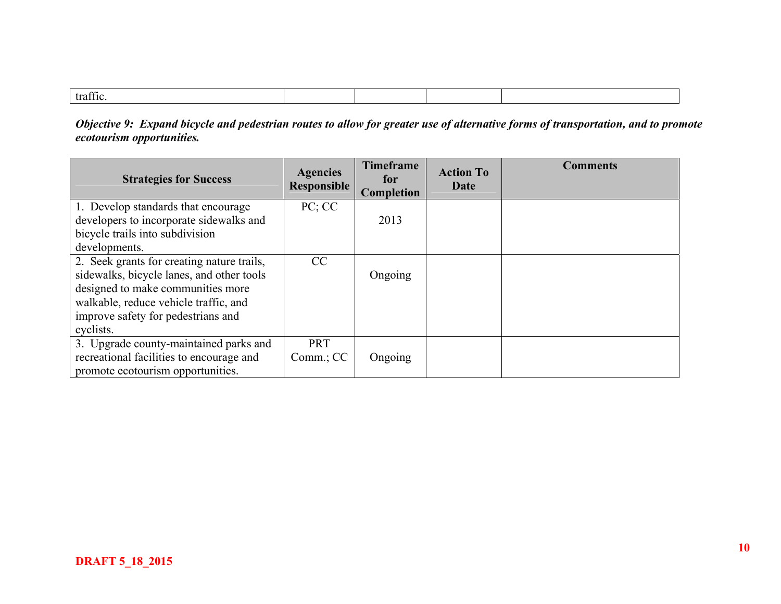| $\alpha$<br>EMITIN. |  |  |  |
|---------------------|--|--|--|
|                     |  |  |  |

*Objective 9: Expand bicycle and pedestrian routes to allow for greater use of alternative forms of transportation, and to promote ecotourism opportunities.* 

| <b>Strategies for Success</b>                                                 | <b>Agencies</b><br>Responsible | <b>Timeframe</b><br>for<br><b>Completion</b> | <b>Action To</b><br>Date | <b>Comments</b> |
|-------------------------------------------------------------------------------|--------------------------------|----------------------------------------------|--------------------------|-----------------|
| 1. Develop standards that encourage                                           | PC; CC                         |                                              |                          |                 |
| developers to incorporate sidewalks and<br>bicycle trails into subdivision    |                                | 2013                                         |                          |                 |
| developments.                                                                 |                                |                                              |                          |                 |
| 2. Seek grants for creating nature trails,                                    | CC                             |                                              |                          |                 |
| sidewalks, bicycle lanes, and other tools                                     |                                | Ongoing                                      |                          |                 |
| designed to make communities more<br>walkable, reduce vehicle traffic, and    |                                |                                              |                          |                 |
| improve safety for pedestrians and                                            |                                |                                              |                          |                 |
| cyclists.                                                                     |                                |                                              |                          |                 |
| 3. Upgrade county-maintained parks and                                        | <b>PRT</b>                     |                                              |                          |                 |
| recreational facilities to encourage and<br>promote ecotourism opportunities. | $Comm$ ; $CC$                  | Ongoing                                      |                          |                 |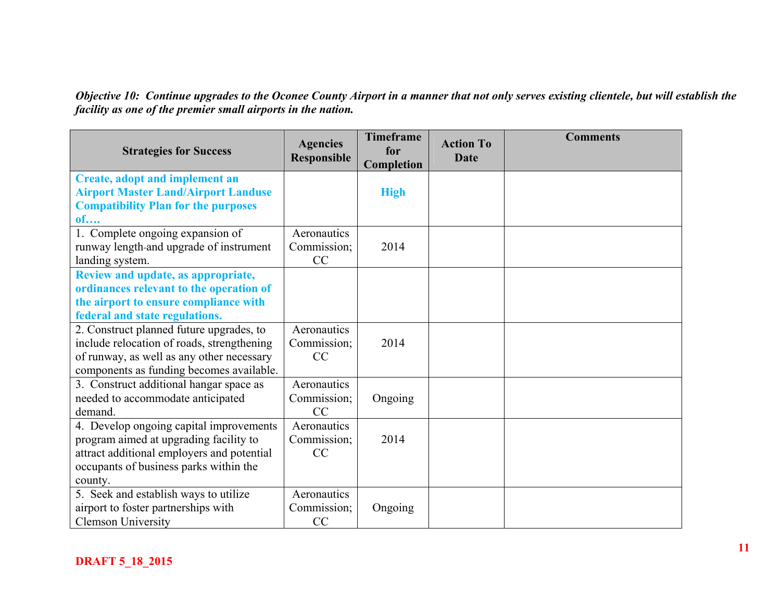*Objective 10: Continue upgrades to the Oconee County Airport in a manner that not only serves existing clientele, but will establish the facility as one of the premier small airports in the nation.*

| <b>Strategies for Success</b>              | <b>Agencies</b><br><b>Responsible</b> | <b>Timeframe</b><br>for<br>Completion | <b>Action To</b><br><b>Date</b> | <b>Comments</b> |
|--------------------------------------------|---------------------------------------|---------------------------------------|---------------------------------|-----------------|
| <b>Create, adopt and implement an</b>      |                                       |                                       |                                 |                 |
| <b>Airport Master Land/Airport Landuse</b> |                                       | <b>High</b>                           |                                 |                 |
| <b>Compatibility Plan for the purposes</b> |                                       |                                       |                                 |                 |
| of                                         |                                       |                                       |                                 |                 |
| 1. Complete ongoing expansion of           | Aeronautics                           |                                       |                                 |                 |
| runway length-and upgrade of instrument    | Commission;                           | 2014                                  |                                 |                 |
| landing system.                            | CC                                    |                                       |                                 |                 |
| Review and update, as appropriate,         |                                       |                                       |                                 |                 |
| ordinances relevant to the operation of    |                                       |                                       |                                 |                 |
| the airport to ensure compliance with      |                                       |                                       |                                 |                 |
| federal and state regulations.             |                                       |                                       |                                 |                 |
| 2. Construct planned future upgrades, to   | Aeronautics                           |                                       |                                 |                 |
| include relocation of roads, strengthening | Commission;                           | 2014                                  |                                 |                 |
| of runway, as well as any other necessary  | CC                                    |                                       |                                 |                 |
| components as funding becomes available.   |                                       |                                       |                                 |                 |
| 3. Construct additional hangar space as    | Aeronautics                           |                                       |                                 |                 |
| needed to accommodate anticipated          | Commission;                           | Ongoing                               |                                 |                 |
| demand.                                    | CC                                    |                                       |                                 |                 |
| 4. Develop ongoing capital improvements    | Aeronautics                           |                                       |                                 |                 |
| program aimed at upgrading facility to     | Commission;                           | 2014                                  |                                 |                 |
| attract additional employers and potential | CC                                    |                                       |                                 |                 |
| occupants of business parks within the     |                                       |                                       |                                 |                 |
| county.                                    |                                       |                                       |                                 |                 |
| 5. Seek and establish ways to utilize      | Aeronautics                           |                                       |                                 |                 |
| airport to foster partnerships with        | Commission;                           | Ongoing                               |                                 |                 |
| <b>Clemson University</b>                  | CC                                    |                                       |                                 |                 |